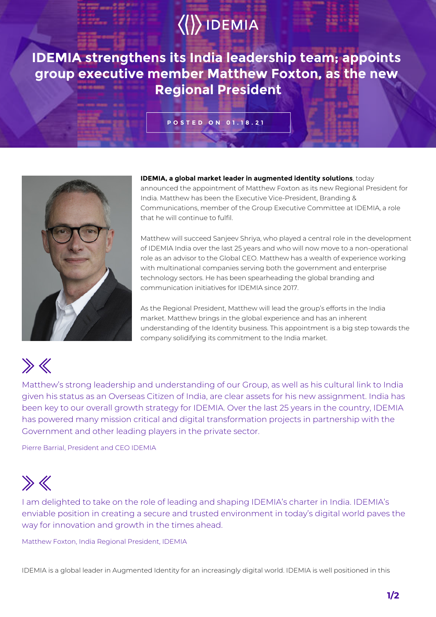# $\langle\langle\rangle\rangle$  IDEMIA

**IDEMIA strengthens its India leadership team; appoints group executive member Matthew Foxton, as the new Regional President**

### **POSTED ON 01.18.21**



**IDEMIA, a global market leader in augmented identity solutions**, today announced the appointment of Matthew Foxton as its new Regional President for India. Matthew has been the Executive Vice-President, Branding & Communications, member of the Group Executive Committee at IDEMIA, a role that he will continue to fulfil.

Matthew will succeed Sanjeev Shriya, who played a central role in the development of IDEMIA India over the last 25 years and who will now move to a non-operational role as an advisor to the Global CEO. Matthew has a wealth of experience working with multinational companies serving both the government and enterprise technology sectors. He has been spearheading the global branding and communication initiatives for IDEMIA since 2017.

As the Regional President, Matthew will lead the group's efforts in the India market. Matthew brings in the global experience and has an inherent understanding of the Identity business. This appointment is a big step towards the company solidifying its commitment to the India market.

## $\gg K$

Matthew's strong leadership and understanding of our Group, as well as his cultural link to India given his status as an Overseas Citizen of India, are clear assets for his new assignment. India has been key to our overall growth strategy for IDEMIA. Over the last 25 years in the country, IDEMIA has powered many mission critical and digital transformation projects in partnership with the Government and other leading players in the private sector.

Pierre Barrial, President and CEO IDEMIA

### $\gg K$

I am delighted to take on the role of leading and shaping IDEMIA's charter in India. IDEMIA's enviable position in creating a secure and trusted environment in today's digital world paves the way for innovation and growth in the times ahead.

Matthew Foxton, India Regional President, IDEMIA

IDEMIA is a global leader in Augmented Identity for an increasingly digital world. IDEMIA is well positioned in this